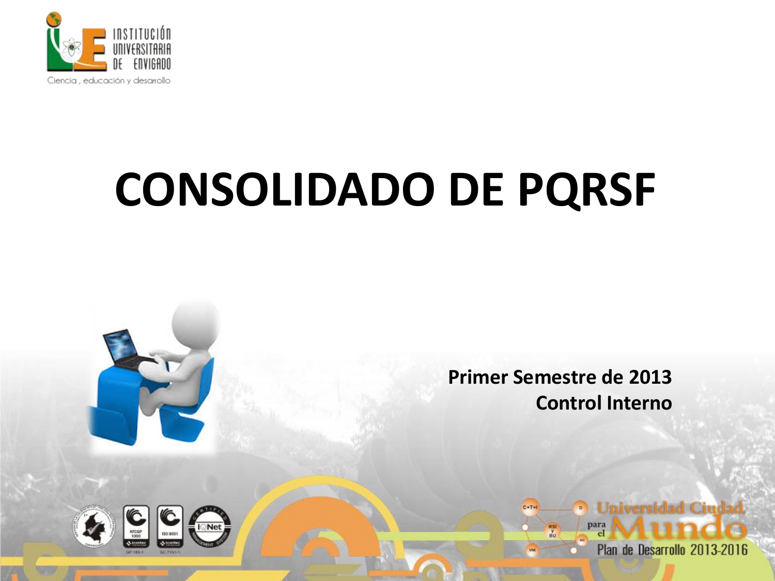

**I** Net

## **CONSOLIDADO DE PQRSF**



 $C+T+1$ 

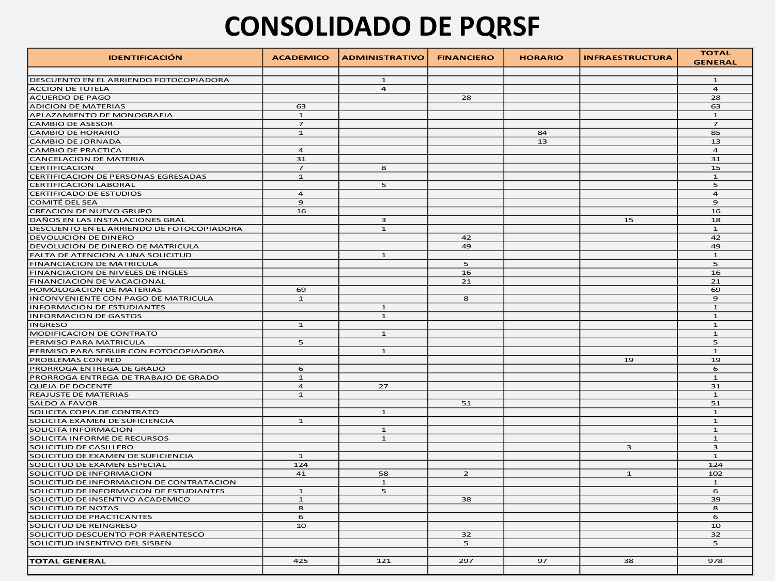## **CONSOLIDADO DE PQRSF**

| <b>IDENTIFICACIÓN</b>                                             | <b>ACADEMICO</b> | <b>ADMINISTRATIVO</b>          | <b>FINANCIERO</b> | <b>HORARIO</b> | <b>INFRAESTRUCTURA</b> | <b>TOTAL</b><br><b>GENERAL</b> |
|-------------------------------------------------------------------|------------------|--------------------------------|-------------------|----------------|------------------------|--------------------------------|
|                                                                   |                  |                                |                   |                |                        |                                |
| DESCUENTO EN EL ARRIENDO FOTOCOPIADORA<br><b>ACCION DE TUTELA</b> |                  | $\mathbf{1}$<br>$\overline{a}$ |                   |                |                        | $\mathbf{1}$<br>$\overline{a}$ |
|                                                                   |                  |                                | 28                |                |                        | 28                             |
| ACUERDO DE PAGO<br><b>ADICION DE MATERIAS</b>                     | 63               |                                |                   |                |                        |                                |
|                                                                   | $\mathbf{1}$     |                                |                   |                |                        | 63<br>$\mathbf{1}$             |
| APLAZAMIENTO DE MONOGRAFIA                                        | $\overline{z}$   |                                |                   |                |                        | $\overline{z}$                 |
| <b>CAMBIO DE ASESOR</b>                                           |                  |                                |                   |                |                        |                                |
| <b>CAMBIO DE HORARIO</b>                                          | $\mathbf{1}$     |                                |                   | 84<br>13       |                        | 85<br>13                       |
| <b>CAMBIO DE JORNADA</b>                                          |                  |                                |                   |                |                        |                                |
| <b>CAMBIO DE PRACTICA</b>                                         | $\overline{4}$   |                                |                   |                |                        | $\overline{4}$                 |
| <b>CANCELACION DE MATERIA</b>                                     | 31               |                                |                   |                |                        | 31                             |
| <b>CERTIFICACION</b>                                              | $\overline{z}$   | 8                              |                   |                |                        | 15                             |
| CERTIFICACION DE PERSONAS EGRESADAS                               | $\mathbf{1}$     |                                |                   |                |                        | $\mathbf{1}$                   |
| <b>CERTIFICACION LABORAL</b>                                      |                  | 5                              |                   |                |                        | 5                              |
| <b>CERTIFICADO DE ESTUDIOS</b>                                    | $\overline{a}$   |                                |                   |                |                        | $\overline{a}$                 |
| <b>COMITÉ DEL SEA</b>                                             | $\mathbf{9}$     |                                |                   |                |                        | $\mathbf{9}$                   |
| <b>CREACION DE NUEVO GRUPO</b>                                    | 16               |                                |                   |                |                        | 16                             |
| DAÑOS EN LAS INSTALACIONES GRAL                                   |                  | 3                              |                   |                | 15                     | 18                             |
| DESCUENTO EN EL ARRIENDO DE FOTOCOPIADORA                         |                  | $\mathbf 1$                    |                   |                |                        | $\mathbf 1$                    |
| <b>DEVOLUCION DE DINERO</b>                                       |                  |                                | 42                |                |                        | 42                             |
| DEVOLUCION DE DINERO DE MATRICULA                                 |                  |                                | 49                |                |                        | 49                             |
| FALTA DE ATENCION A UNA SOLICITUD                                 |                  | $\mathbf{1}$                   |                   |                |                        | $\mathbf{1}$                   |
| FINANCIACION DE MATRICULA                                         |                  |                                | 5                 |                |                        | 5                              |
| FINANCIACION DE NIVELES DE INGLES                                 |                  |                                | 16                |                |                        | 16                             |
| FINANCIACION DE VACACIONAL                                        |                  |                                | 21                |                |                        | 21                             |
| <b>HOMOLOGACION DE MATERIAS</b>                                   | 69               |                                |                   |                |                        | 69                             |
| INCONVENIENTE CON PAGO DE MATRICULA                               | $\mathbf 1$      |                                | 8                 |                |                        | $\mathbf{9}$                   |
| <b>INFORMACION DE ESTUDIANTES</b>                                 |                  | $\mathbf{1}$                   |                   |                |                        | $\mathbf{1}$                   |
| <b>INFORMACION DE GASTOS</b>                                      |                  | $\mathbf{1}$                   |                   |                |                        | $\mathbf{1}$                   |
| <b>INGRESO</b>                                                    | $\mathbf{1}$     |                                |                   |                |                        | $\mathbf{1}$                   |
| MODIFICACION DE CONTRATO                                          |                  | $\mathbf{1}$                   |                   |                |                        | $\mathbf{1}$                   |
| PERMISO PARA MATRICULA                                            | 5                |                                |                   |                |                        | 5                              |
| PERMISO PARA SEGUIR CON FOTOCOPIADORA                             |                  | $\mathbf{1}$                   |                   |                |                        | $\mathbf{1}$                   |
| PROBLEMAS CON RED                                                 |                  |                                |                   |                | 19                     | 19                             |
| PRORROGA ENTREGA DE GRADO                                         | 6                |                                |                   |                |                        | 6                              |
| PRORROGA ENTREGA DE TRABAJO DE GRADO                              | $\mathbf{1}$     |                                |                   |                |                        | $\mathbf{1}$                   |
| <b>QUEJA DE DOCENTE</b>                                           | $\overline{4}$   | 27                             |                   |                |                        | 31                             |
| <b>REAJUSTE DE MATERIAS</b>                                       | $\mathbf{1}$     |                                |                   |                |                        | $\mathbf{1}$                   |
| <b>SALDO A FAVOR</b>                                              |                  |                                | 51                |                |                        | 51                             |
| SOLICITA COPIA DE CONTRATO                                        |                  | $\mathbf{1}$                   |                   |                |                        | $\mathbf{1}$                   |
| SOLICITA EXAMEN DE SUFICIENCIA                                    | $\mathbf{1}$     |                                |                   |                |                        | $\mathbf{1}$                   |
| SOLICITA INFORMACION                                              |                  | $\mathbf{1}$                   |                   |                |                        | $\mathbf{1}$                   |
| SOLICITA INFORME DE RECURSOS                                      |                  | $\mathbf{1}$                   |                   |                |                        | $\mathbf{1}$                   |
| SOLICITUD DE CASILLERO                                            |                  |                                |                   |                | 3                      | 3                              |
| SOLICITUD DE EXAMEN DE SUFICIENCIA                                | $\mathbf{1}$     |                                |                   |                |                        | $\mathbf{1}$                   |
| SOLICITUD DE EXAMEN ESPECIAL                                      | 124              |                                |                   |                |                        | 124                            |
| SOLICITUD DE INFORMACION                                          | 41               | 58                             | $\overline{2}$    |                | $\mathbf{1}$           | 102                            |
| SOLICITUD DE INFORMACION DE CONTRATACION                          |                  | $\mathbf{1}$                   |                   |                |                        | ${\bf 1}$                      |
| SOLICITUD DE INFORMACION DE ESTUDIANTES                           | $\mathbf{1}$     | ${\mathsf S}$                  |                   |                |                        | 6                              |
| SOLICITUD DE INSENTIVO ACADEMICO                                  | $\mathbf 1$      |                                | 38                |                |                        | 39                             |
| SOLICITUD DE NOTAS                                                | 8                |                                |                   |                |                        | 8                              |
| SOLICITUD DE PRACTICANTES                                         | 6                |                                |                   |                |                        | 6                              |
| SOLICITUD DE REINGRESO                                            | 10               |                                |                   |                |                        | 10                             |
| SOLICITUD DESCUENTO POR PARENTESCO                                |                  |                                | 32                |                |                        | 32                             |
| SOLICITUD INSENTIVO DEL SISBEN                                    |                  |                                | 5                 |                |                        | 5                              |
|                                                                   |                  |                                |                   |                |                        |                                |
| <b>TOTAL GENERAL</b>                                              | 425              | 121                            | 297               | 97             | 38                     | 978                            |
|                                                                   |                  |                                |                   |                |                        |                                |